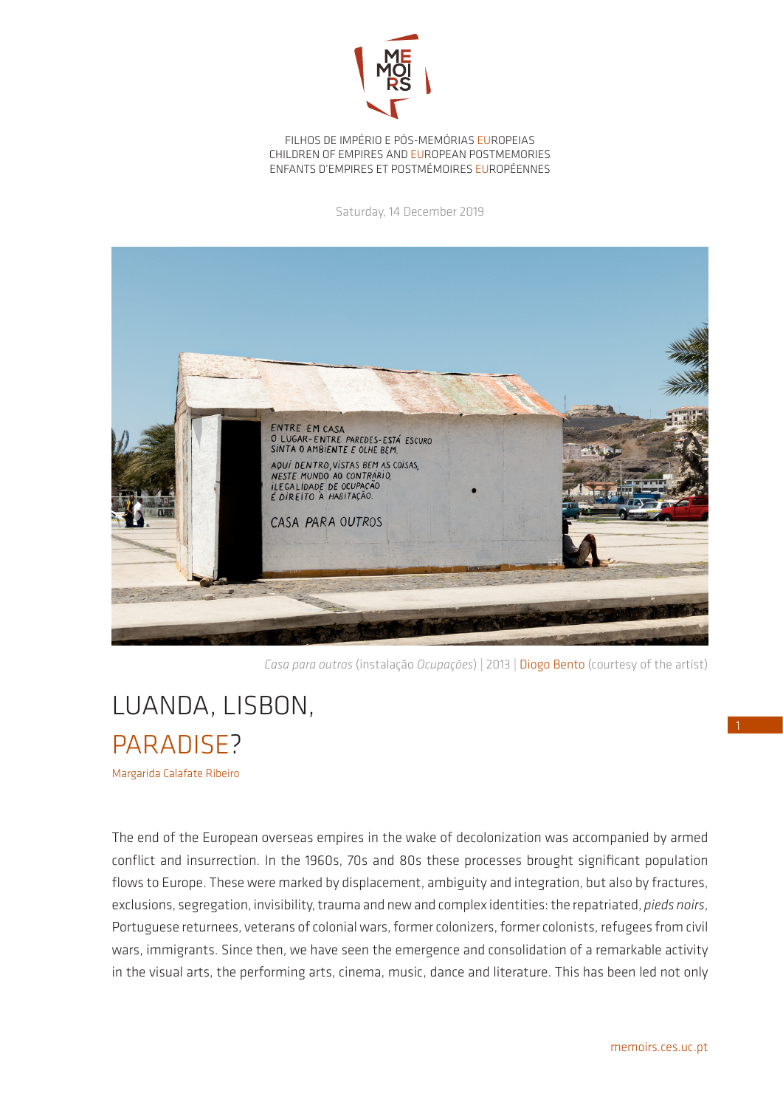

FILHOS DE IMPÉRIO E PÓS-MEMÓRIAS EUROPEIAS CHILDREN OF EMPIRES AND EUROPEAN POSTMEMORIES ENFANTS D'EMPIRES ET POSTMÉMOIRES EUROPÉENNES

Saturday, 14 December 2019



*Casa para outros* (instalação *Ocupações*) | 2013 | Diogo Bento (courtesy of the artist)

## LUANDA, LISBON, **PARADISE?**

Margarida Calafate Ribeiro

The end of the European overseas empires in the wake of decolonization was accompanied by armed conflict and insurrection. In the 1960s, 70s and 80s these processes brought significant population flows to Europe. These were marked by displacement, ambiguity and integration, but also by fractures, exclusions, segregation, invisibility, trauma and new and complex identities: the repatriated, *pieds noirs*, Portuguese returnees, veterans of colonial wars, former colonizers, former colonists, refugees from civil wars, immigrants. Since then, we have seen the emergence and consolidation of a remarkable activity in the visual arts, the performing arts, cinema, music, dance and literature. This has been led not only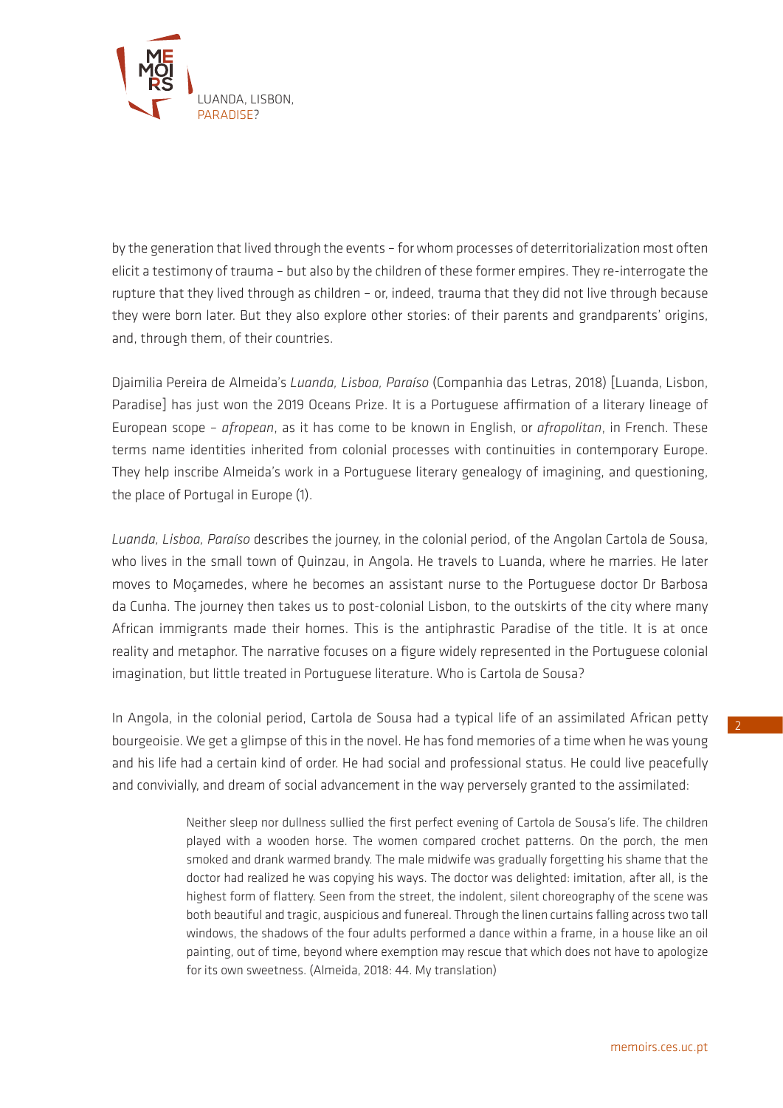

by the generation that lived through the events – for whom processes of deterritorialization most often elicit a testimony of trauma – but also by the children of these former empires. They re-interrogate the rupture that they lived through as children – or, indeed, trauma that they did not live through because they were born later. But they also explore other stories: of their parents and grandparents' origins, and, through them, of their countries.

Djaimilia Pereira de Almeida's *Luanda, Lisboa, Paraíso* (Companhia das Letras, 2018) [Luanda, Lisbon, Paradise] has just won the 2019 Oceans Prize. It is a Portuguese affirmation of a literary lineage of European scope – *afropean*, as it has come to be known in English, or *afropolitan*, in French. These terms name identities inherited from colonial processes with continuities in contemporary Europe. They help inscribe Almeida's work in a Portuguese literary genealogy of imagining, and questioning, the place of Portugal in Europe (1).

*Luanda, Lisboa, Paraíso* describes the journey, in the colonial period, of the Angolan Cartola de Sousa, who lives in the small town of Quinzau, in Angola. He travels to Luanda, where he marries. He later moves to Moçamedes, where he becomes an assistant nurse to the Portuguese doctor Dr Barbosa da Cunha. The journey then takes us to post-colonial Lisbon, to the outskirts of the city where many African immigrants made their homes. This is the antiphrastic Paradise of the title. It is at once reality and metaphor. The narrative focuses on a figure widely represented in the Portuguese colonial imagination, but little treated in Portuguese literature. Who is Cartola de Sousa?

In Angola, in the colonial period, Cartola de Sousa had a typical life of an assimilated African petty bourgeoisie. We get a glimpse of this in the novel. He has fond memories of a time when he was young and his life had a certain kind of order. He had social and professional status. He could live peacefully and convivially, and dream of social advancement in the way perversely granted to the assimilated:

> Neither sleep nor dullness sullied the first perfect evening of Cartola de Sousa's life. The children played with a wooden horse. The women compared crochet patterns. On the porch, the men smoked and drank warmed brandy. The male midwife was gradually forgetting his shame that the doctor had realized he was copying his ways. The doctor was delighted: imitation, after all, is the highest form of flattery. Seen from the street, the indolent, silent choreography of the scene was both beautiful and tragic, auspicious and funereal. Through the linen curtains falling across two tall windows, the shadows of the four adults performed a dance within a frame, in a house like an oil painting, out of time, beyond where exemption may rescue that which does not have to apologize for its own sweetness. (Almeida, 2018: 44. My translation)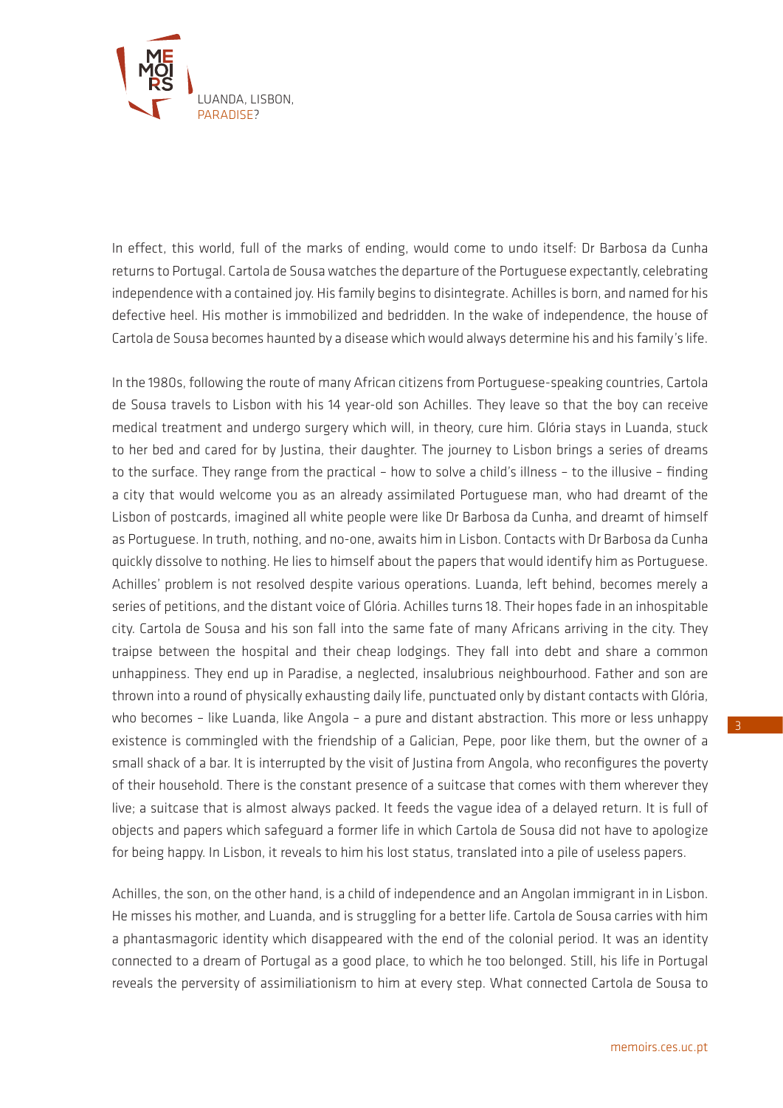

In effect, this world, full of the marks of ending, would come to undo itself: Dr Barbosa da Cunha returns to Portugal. Cartola de Sousa watches the departure of the Portuguese expectantly, celebrating independence with a contained joy. His family begins to disintegrate. Achilles is born, and named for his defective heel. His mother is immobilized and bedridden. In the wake of independence, the house of Cartola de Sousa becomes haunted by a disease which would always determine his and his family's life.

In the 1980s, following the route of many African citizens from Portuguese-speaking countries, Cartola de Sousa travels to Lisbon with his 14 year-old son Achilles. They leave so that the boy can receive medical treatment and undergo surgery which will, in theory, cure him. Glória stays in Luanda, stuck to her bed and cared for by Justina, their daughter. The journey to Lisbon brings a series of dreams to the surface. They range from the practical – how to solve a child's illness – to the illusive – finding a city that would welcome you as an already assimilated Portuguese man, who had dreamt of the Lisbon of postcards, imagined all white people were like Dr Barbosa da Cunha, and dreamt of himself as Portuguese. In truth, nothing, and no-one, awaits him in Lisbon. Contacts with Dr Barbosa da Cunha quickly dissolve to nothing. He lies to himself about the papers that would identify him as Portuguese. Achilles' problem is not resolved despite various operations. Luanda, left behind, becomes merely a series of petitions, and the distant voice of Glória. Achilles turns 18. Their hopes fade in an inhospitable city. Cartola de Sousa and his son fall into the same fate of many Africans arriving in the city. They traipse between the hospital and their cheap lodgings. They fall into debt and share a common unhappiness. They end up in Paradise, a neglected, insalubrious neighbourhood. Father and son are thrown into a round of physically exhausting daily life, punctuated only by distant contacts with Glória, who becomes - like Luanda, like Angola - a pure and distant abstraction. This more or less unhappy existence is commingled with the friendship of a Galician, Pepe, poor like them, but the owner of a small shack of a bar. It is interrupted by the visit of Justina from Angola, who reconfigures the poverty of their household. There is the constant presence of a suitcase that comes with them wherever they live; a suitcase that is almost always packed. It feeds the vague idea of a delayed return. It is full of objects and papers which safeguard a former life in which Cartola de Sousa did not have to apologize for being happy. In Lisbon, it reveals to him his lost status, translated into a pile of useless papers.

Achilles, the son, on the other hand, is a child of independence and an Angolan immigrant in in Lisbon. He misses his mother, and Luanda, and is struggling for a better life. Cartola de Sousa carries with him a phantasmagoric identity which disappeared with the end of the colonial period. It was an identity connected to a dream of Portugal as a good place, to which he too belonged. Still, his life in Portugal reveals the perversity of assimiliationism to him at every step. What connected Cartola de Sousa to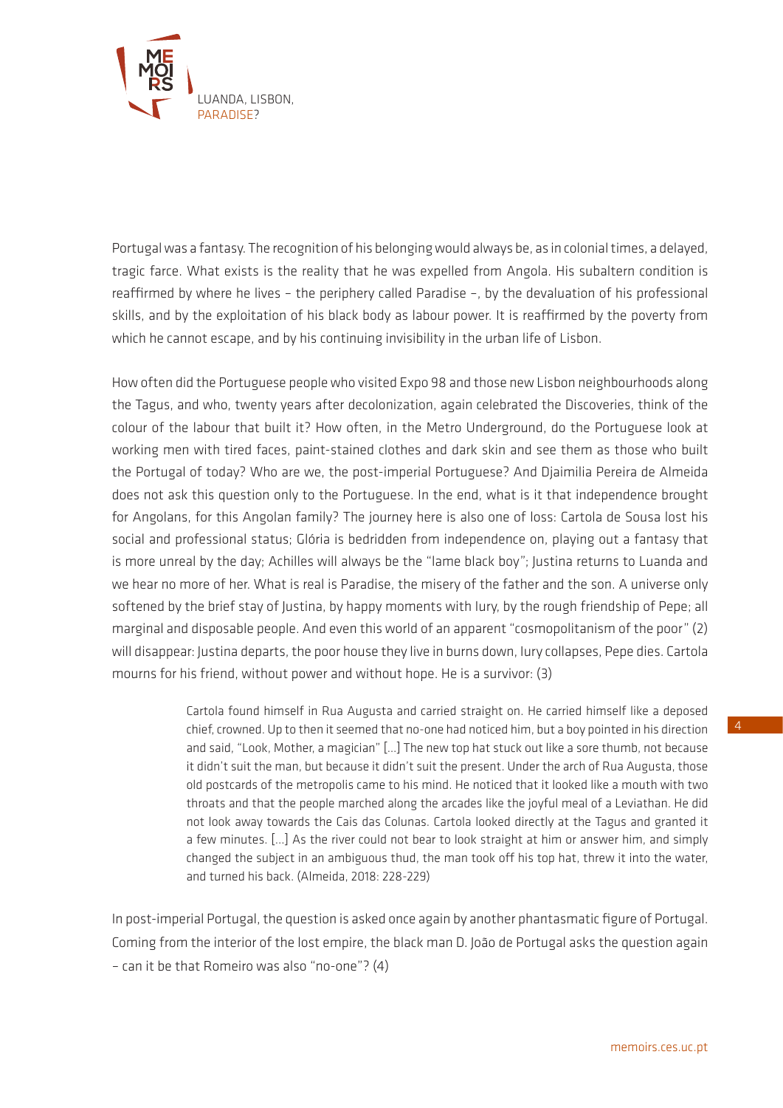

Portugal was a fantasy. The recognition of his belonging would always be, as in colonial times, a delayed, tragic farce. What exists is the reality that he was expelled from Angola. His subaltern condition is reaffirmed by where he lives – the periphery called Paradise –, by the devaluation of his professional skills, and by the exploitation of his black body as labour power. It is reaffirmed by the poverty from which he cannot escape, and by his continuing invisibility in the urban life of Lisbon.

How often did the Portuguese people who visited Expo 98 and those new Lisbon neighbourhoods along the Tagus, and who, twenty years after decolonization, again celebrated the Discoveries, think of the colour of the labour that built it? How often, in the Metro Underground, do the Portuguese look at working men with tired faces, paint-stained clothes and dark skin and see them as those who built the Portugal of today? Who are we, the post-imperial Portuguese? And Djaimilia Pereira de Almeida does not ask this question only to the Portuguese. In the end, what is it that independence brought for Angolans, for this Angolan family? The journey here is also one of loss: Cartola de Sousa lost his social and professional status; Glória is bedridden from independence on, playing out a fantasy that is more unreal by the day; Achilles will always be the "lame black boy"; Justina returns to Luanda and we hear no more of her. What is real is Paradise, the misery of the father and the son. A universe only softened by the brief stay of Justina, by happy moments with Iury, by the rough friendship of Pepe; all marginal and disposable people. And even this world of an apparent "cosmopolitanism of the poor" (2) will disappear: Justina departs, the poor house they live in burns down, Iury collapses, Pepe dies. Cartola mourns for his friend, without power and without hope. He is a survivor: (3)

> Cartola found himself in Rua Augusta and carried straight on. He carried himself like a deposed chief, crowned. Up to then it seemed that no-one had noticed him, but a boy pointed in his direction and said, "Look, Mother, a magician" […] The new top hat stuck out like a sore thumb, not because it didn't suit the man, but because it didn't suit the present. Under the arch of Rua Augusta, those old postcards of the metropolis came to his mind. He noticed that it looked like a mouth with two throats and that the people marched along the arcades like the joyful meal of a Leviathan. He did not look away towards the Cais das Colunas. Cartola looked directly at the Tagus and granted it a few minutes. [...] As the river could not bear to look straight at him or answer him, and simply changed the subject in an ambiguous thud, the man took off his top hat, threw it into the water, and turned his back. (Almeida, 2018: 228-229)

In post-imperial Portugal, the question is asked once again by another phantasmatic figure of Portugal. Coming from the interior of the lost empire, the black man D. João de Portugal asks the question again – can it be that Romeiro was also "no-one"? (4)